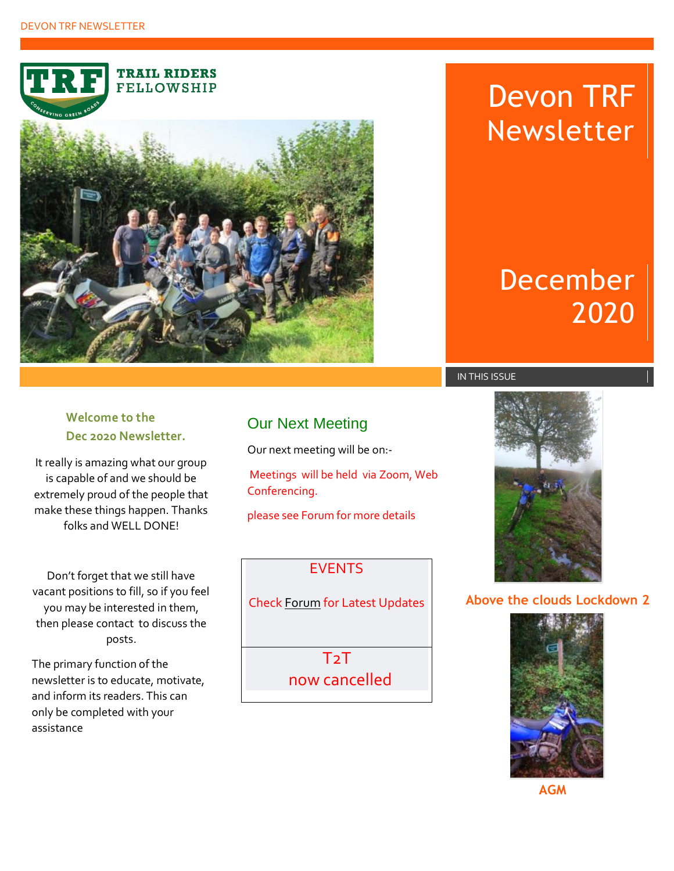**TRAIL RIDERS FELLOWSHIP** 



# Devon TRF Newsletter

# December 2020

## **Welcome to the Dec 2020 Newsletter.**

It really is amazing what our group is capable of and we should be extremely proud of the people that make these things happen. Thanks folks and WELL DONE!

Don't forget that we still have vacant positions to fill, so if you feel you may be interested in them, then please contact to discuss the posts.

The primary function of the newsletter is to educate, motivate, and inform its readers. This can only be completed with your assistance

## Our Next Meeting

Our next meeting will be on:-

Meetings will be held via Zoom, Web Conferencing.

please see Forum for more details

### EVENTS

Check [Forum](https://devongtrf.activeboard.com/) for Latest Updates

**T<sub>2</sub>T** now cancelled



**Above the clouds Lockdown 2**



**AGM**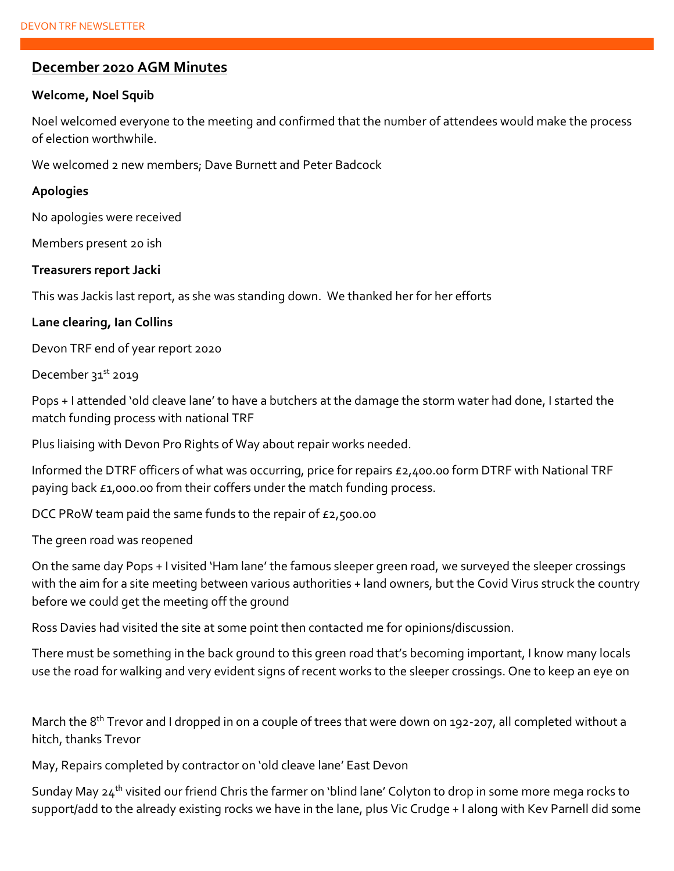#### **December 2020 AGM Minutes**

#### **Welcome, Noel Squib**

Noel welcomed everyone to the meeting and confirmed that the number of attendees would make the process of election worthwhile.

We welcomed 2 new members; Dave Burnett and Peter Badcock

#### **Apologies**

No apologies were received

Members present 20 ish

#### **Treasurers report Jacki**

This was Jackis last report, as she was standing down. We thanked her for her efforts

#### **Lane clearing, Ian Collins**

Devon TRF end of year report 2020

December 31<sup>st</sup> 2019

Pops + I attended 'old cleave lane' to have a butchers at the damage the storm water had done, I started the match funding process with national TRF

Plus liaising with Devon Pro Rights of Way about repair works needed.

Informed the DTRF officers of what was occurring, price for repairs £2,400.00 form DTRF with National TRF paying back £1,000.00 from their coffers under the match funding process.

DCC PRoW team paid the same funds to the repair of £2,500.00

The green road was reopened

On the same day Pops + I visited 'Ham lane' the famous sleeper green road, we surveyed the sleeper crossings with the aim for a site meeting between various authorities + land owners, but the Covid Virus struck the country before we could get the meeting off the ground

Ross Davies had visited the site at some point then contacted me for opinions/discussion.

There must be something in the back ground to this green road that's becoming important, I know many locals use the road for walking and very evident signs of recent works to the sleeper crossings. One to keep an eye on

March the 8<sup>th</sup> Trevor and I dropped in on a couple of trees that were down on 192-207, all completed without a hitch, thanks Trevor

May, Repairs completed by contractor on 'old cleave lane' East Devon

Sunday May 24<sup>th</sup> visited our friend Chris the farmer on 'blind lane' Colyton to drop in some more mega rocks to support/add to the already existing rocks we have in the lane, plus Vic Crudge + I along with Kev Parnell did some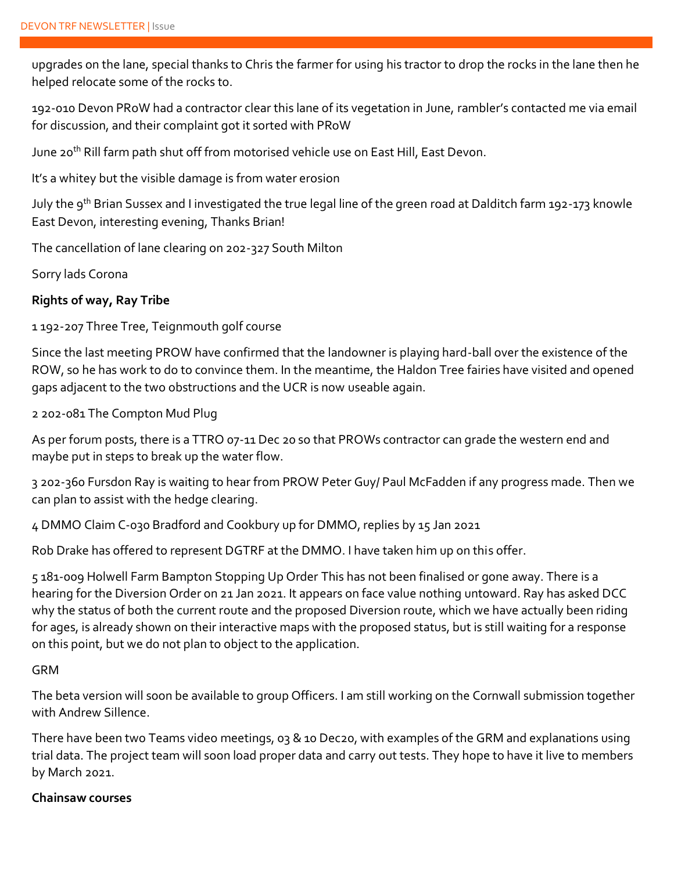upgrades on the lane, special thanks to Chris the farmer for using his tractor to drop the rocks in the lane then he helped relocate some of the rocks to.

192-010 Devon PRoW had a contractor clear this lane of its vegetation in June, rambler's contacted me via email for discussion, and their complaint got it sorted with PRoW

June 20<sup>th</sup> Rill farm path shut off from motorised vehicle use on East Hill, East Devon.

It's a whitey but the visible damage is from water erosion

July the 9<sup>th</sup> Brian Sussex and I investigated the true legal line of the green road at Dalditch farm 192-173 knowle East Devon, interesting evening, Thanks Brian!

The cancellation of lane clearing on 202-327 South Milton

Sorry lads Corona

#### **Rights of way, Ray Tribe**

1 192-207 Three Tree, Teignmouth golf course

Since the last meeting PROW have confirmed that the landowner is playing hard-ball over the existence of the ROW, so he has work to do to convince them. In the meantime, the Haldon Tree fairies have visited and opened gaps adjacent to the two obstructions and the UCR is now useable again.

2 202-081 The Compton Mud Plug

As per forum posts, there is a TTRO 07-11 Dec 20 so that PROWs contractor can grade the western end and maybe put in steps to break up the water flow.

3 202-360 Fursdon Ray is waiting to hear from PROW Peter Guy/ Paul McFadden if any progress made. Then we can plan to assist with the hedge clearing.

4 DMMO Claim C-030 Bradford and Cookbury up for DMMO, replies by 15 Jan 2021

Rob Drake has offered to represent DGTRF at the DMMO. I have taken him up on this offer.

5 181-009 Holwell Farm Bampton Stopping Up Order This has not been finalised or gone away. There is a hearing for the Diversion Order on 21 Jan 2021. It appears on face value nothing untoward. Ray has asked DCC why the status of both the current route and the proposed Diversion route, which we have actually been riding for ages, is already shown on their interactive maps with the proposed status, but is still waiting for a response on this point, but we do not plan to object to the application.

#### GRM

The beta version will soon be available to group Officers. I am still working on the Cornwall submission together with Andrew Sillence.

There have been two Teams video meetings, 03 & 10 Dec20, with examples of the GRM and explanations using trial data. The project team will soon load proper data and carry out tests. They hope to have it live to members by March 2021.

#### **Chainsaw courses**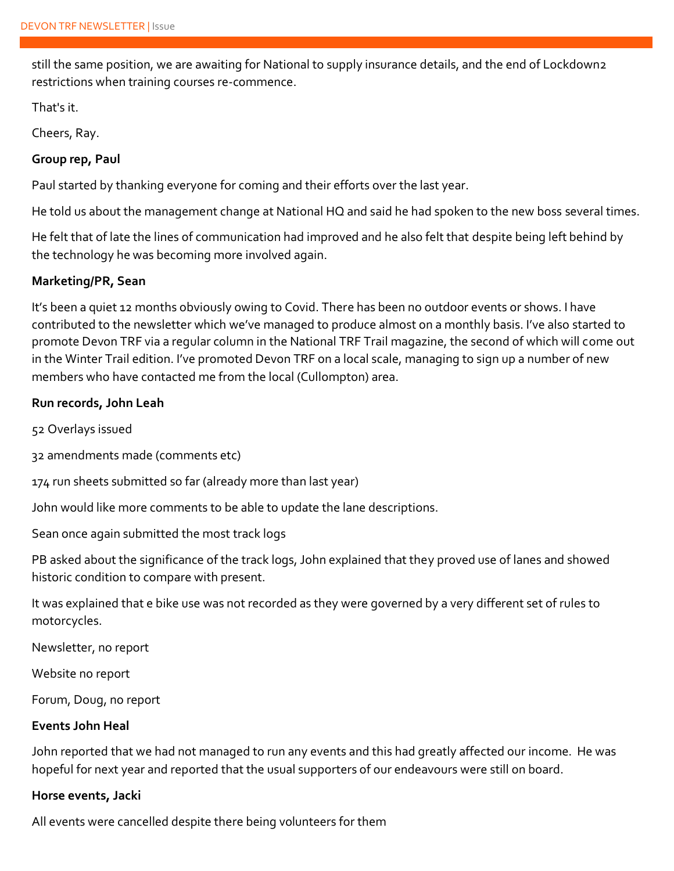still the same position, we are awaiting for National to supply insurance details, and the end of Lockdown2 restrictions when training courses re-commence.

That's it.

Cheers, Ray.

#### **Group rep, Paul**

Paul started by thanking everyone for coming and their efforts over the last year.

He told us about the management change at National HQ and said he had spoken to the new boss several times.

He felt that of late the lines of communication had improved and he also felt that despite being left behind by the technology he was becoming more involved again.

#### **Marketing/PR, Sean**

It's been a quiet 12 months obviously owing to Covid. There has been no outdoor events or shows. I have contributed to the newsletter which we've managed to produce almost on a monthly basis. I've also started to promote Devon TRF via a regular column in the National TRF Trail magazine, the second of which will come out in the Winter Trail edition. I've promoted Devon TRF on a local scale, managing to sign up a number of new members who have contacted me from the local (Cullompton) area.

#### **Run records, John Leah**

52 Overlays issued

32 amendments made (comments etc)

174 run sheets submitted so far (already more than last year)

John would like more comments to be able to update the lane descriptions.

Sean once again submitted the most track logs

PB asked about the significance of the track logs, John explained that they proved use of lanes and showed historic condition to compare with present.

It was explained that e bike use was not recorded as they were governed by a very different set of rules to motorcycles.

Newsletter, no report

Website no report

Forum, Doug, no report

#### **Events John Heal**

John reported that we had not managed to run any events and this had greatly affected our income. He was hopeful for next year and reported that the usual supporters of our endeavours were still on board.

#### **Horse events, Jacki**

All events were cancelled despite there being volunteers for them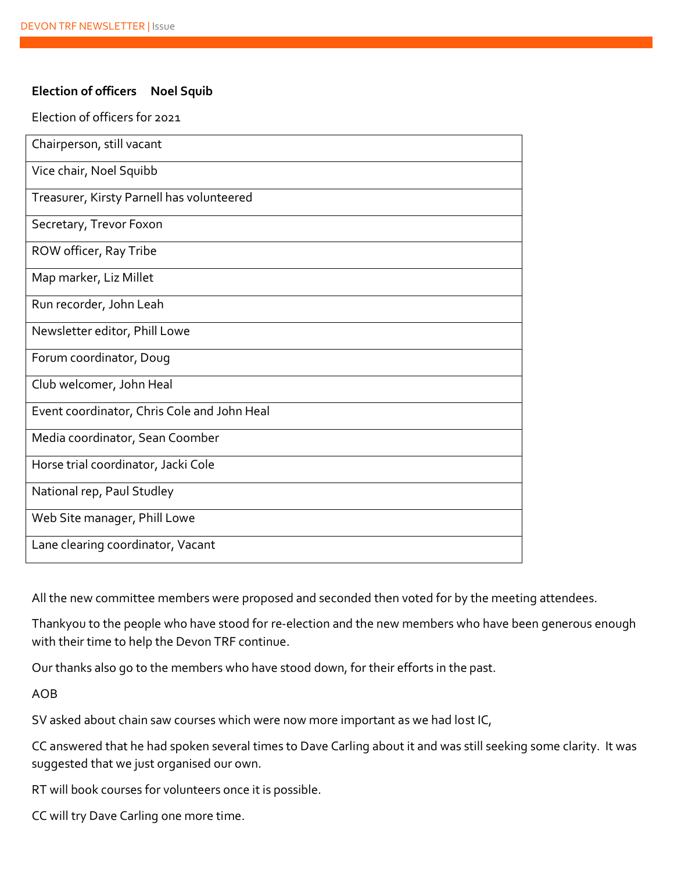#### **Election of officers Noel Squib**

#### Election of officers for 2021

| Chairperson, still vacant                   |
|---------------------------------------------|
| Vice chair, Noel Squibb                     |
| Treasurer, Kirsty Parnell has volunteered   |
| Secretary, Trevor Foxon                     |
| ROW officer, Ray Tribe                      |
| Map marker, Liz Millet                      |
| Run recorder, John Leah                     |
| Newsletter editor, Phill Lowe               |
| Forum coordinator, Doug                     |
| Club welcomer, John Heal                    |
| Event coordinator, Chris Cole and John Heal |
| Media coordinator, Sean Coomber             |
| Horse trial coordinator, Jacki Cole         |
| National rep, Paul Studley                  |
| Web Site manager, Phill Lowe                |
| Lane clearing coordinator, Vacant           |

All the new committee members were proposed and seconded then voted for by the meeting attendees.

Thankyou to the people who have stood for re-election and the new members who have been generous enough with their time to help the Devon TRF continue.

Our thanks also go to the members who have stood down, for their efforts in the past.

AOB

SV asked about chain saw courses which were now more important as we had lost IC,

CC answered that he had spoken several times to Dave Carling about it and was still seeking some clarity. It was suggested that we just organised our own.

RT will book courses for volunteers once it is possible.

CC will try Dave Carling one more time.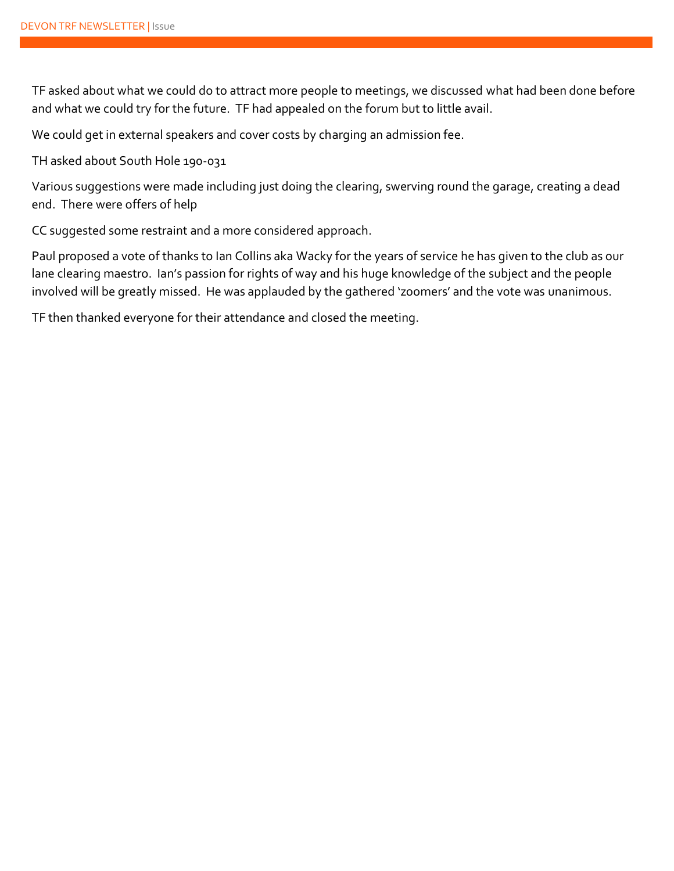TF asked about what we could do to attract more people to meetings, we discussed what had been done before and what we could try for the future. TF had appealed on the forum but to little avail.

We could get in external speakers and cover costs by charging an admission fee.

TH asked about South Hole 190-031

Various suggestions were made including just doing the clearing, swerving round the garage, creating a dead end. There were offers of help

CC suggested some restraint and a more considered approach.

Paul proposed a vote of thanks to Ian Collins aka Wacky for the years of service he has given to the club as our lane clearing maestro. Ian's passion for rights of way and his huge knowledge of the subject and the people involved will be greatly missed. He was applauded by the gathered 'zoomers' and the vote was unanimous.

TF then thanked everyone for their attendance and closed the meeting.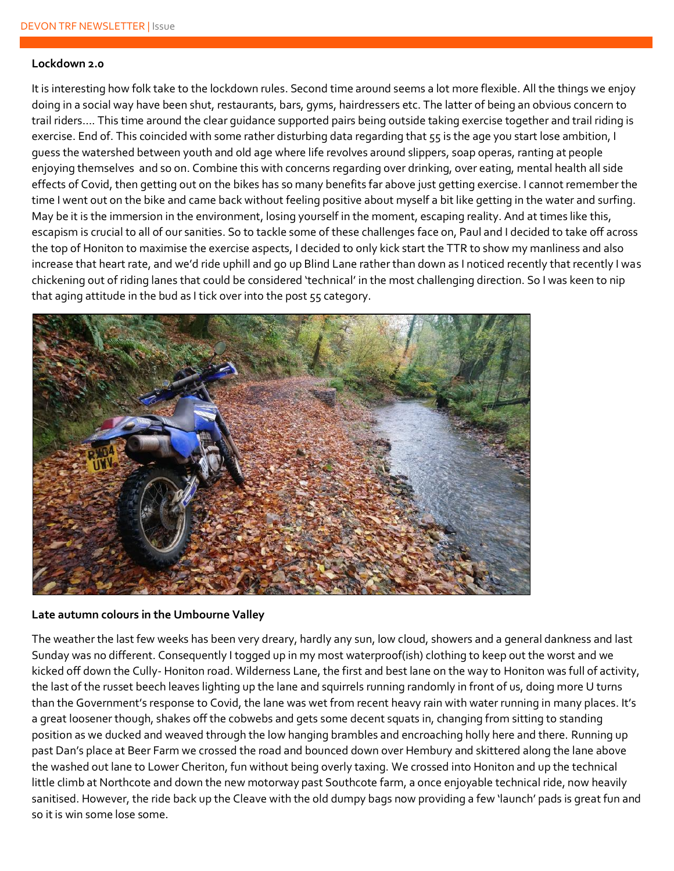#### **Lockdown 2.0**

It is interesting how folk take to the lockdown rules. Second time around seems a lot more flexible. All the things we enjoy doing in a social way have been shut, restaurants, bars, gyms, hairdressers etc. The latter of being an obvious concern to trail riders…. This time around the clear guidance supported pairs being outside taking exercise together and trail riding is exercise. End of. This coincided with some rather disturbing data regarding that 55 is the age you start lose ambition, I guess the watershed between youth and old age where life revolves around slippers, soap operas, ranting at people enjoying themselves and so on. Combine this with concerns regarding over drinking, over eating, mental health all side effects of Covid, then getting out on the bikes has so many benefits far above just getting exercise. I cannot remember the time I went out on the bike and came back without feeling positive about myself a bit like getting in the water and surfing. May be it is the immersion in the environment, losing yourself in the moment, escaping reality. And at times like this, escapism is crucial to all of our sanities. So to tackle some of these challenges face on, Paul and I decided to take off across the top of Honiton to maximise the exercise aspects, I decided to only kick start the TTR to show my manliness and also increase that heart rate, and we'd ride uphill and go up Blind Lane rather than down as I noticed recently that recently I was chickening out of riding lanes that could be considered 'technical' in the most challenging direction. So I was keen to nip that aging attitude in the bud as I tick over into the post 55 category.



#### **Late autumn colours in the Umbourne Valley**

The weather the last few weeks has been very dreary, hardly any sun, low cloud, showers and a general dankness and last Sunday was no different. Consequently I togged up in my most waterproof(ish) clothing to keep out the worst and we kicked off down the Cully-Honiton road. Wilderness Lane, the first and best lane on the way to Honiton was full of activity, the last of the russet beech leaves lighting up the lane and squirrels running randomly in front of us, doing more U turns than the Government's response to Covid, the lane was wet from recent heavy rain with water running in many places. It's a great loosener though, shakes off the cobwebs and gets some decent squats in, changing from sitting to standing position as we ducked and weaved through the low hanging brambles and encroaching holly here and there. Running up past Dan's place at Beer Farm we crossed the road and bounced down over Hembury and skittered along the lane above the washed out lane to Lower Cheriton, fun without being overly taxing. We crossed into Honiton and up the technical little climb at Northcote and down the new motorway past Southcote farm, a once enjoyable technical ride, now heavily sanitised. However, the ride back up the Cleave with the old dumpy bags now providing a few 'launch' pads is great fun and so it is win some lose some.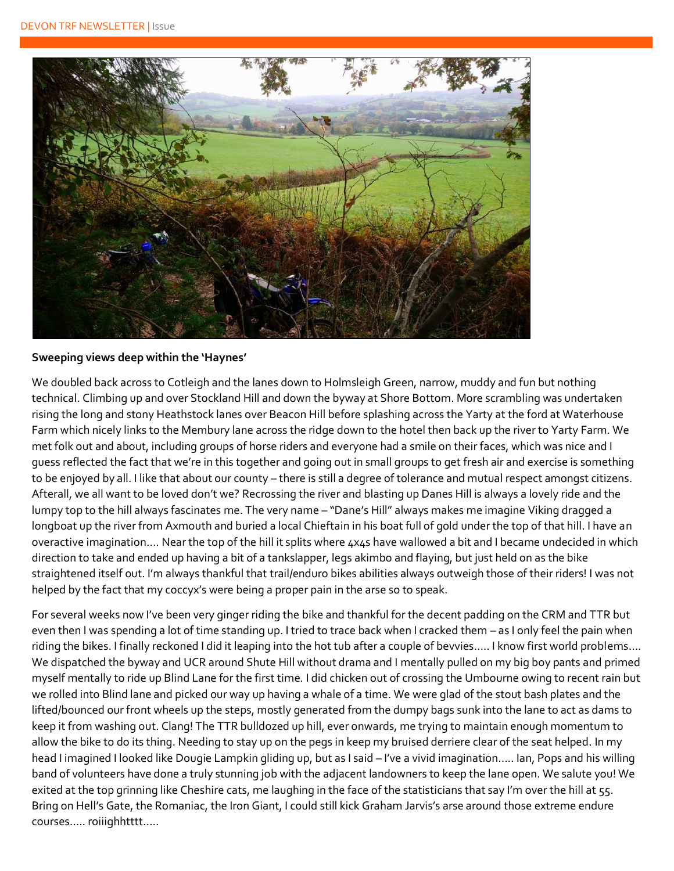

#### **Sweeping views deep within the 'Haynes'**

We doubled back across to Cotleigh and the lanes down to Holmsleigh Green, narrow, muddy and fun but nothing technical. Climbing up and over Stockland Hill and down the byway at Shore Bottom. More scrambling was undertaken rising the long and stony Heathstock lanes over Beacon Hill before splashing across the Yarty at the ford at Waterhouse Farm which nicely links to the Membury lane across the ridge down to the hotel then back up the river to Yarty Farm. We met folk out and about, including groups of horse riders and everyone had a smile on their faces, which was nice and I guess reflected the fact that we're in this together and going out in small groups to get fresh air and exercise is something to be enjoyed by all. I like that about our county – there is still a degree of tolerance and mutual respect amongst citizens. Afterall, we all want to be loved don't we? Recrossing the river and blasting up Danes Hill is always a lovely ride and the lumpy top to the hill always fascinates me. The very name – "Dane's Hill" always makes me imagine Viking dragged a longboat up the river from Axmouth and buried a local Chieftain in his boat full of gold under the top of that hill. I have an overactive imagination…. Near the top of the hill it splits where 4x4s have wallowed a bit and I became undecided in which direction to take and ended up having a bit of a tankslapper, legs akimbo and flaying, but just held on as the bike straightened itself out. I'm always thankful that trail/enduro bikes abilities always outweigh those of their riders! I was not helped by the fact that my coccyx's were being a proper pain in the arse so to speak.

For several weeks now I've been very ginger riding the bike and thankful for the decent padding on the CRM and TTR but even then I was spending a lot of time standing up. I tried to trace back when I cracked them – as I only feel the pain when riding the bikes. I finally reckoned I did it leaping into the hot tub after a couple of bevvies….. I know first world problems…. We dispatched the byway and UCR around Shute Hill without drama and I mentally pulled on my big boy pants and primed myself mentally to ride up Blind Lane for the first time. I did chicken out of crossing the Umbourne owing to recent rain but we rolled into Blind lane and picked our way up having a whale of a time. We were glad of the stout bash plates and the lifted/bounced our front wheels up the steps, mostly generated from the dumpy bags sunk into the lane to act as dams to keep it from washing out. Clang! The TTR bulldozed up hill, ever onwards, me trying to maintain enough momentum to allow the bike to do its thing. Needing to stay up on the pegs in keep my bruised derriere clear of the seat helped. In my head I imagined I looked like Dougie Lampkin gliding up, but as I said – I've a vivid imagination….. Ian, Pops and his willing band of volunteers have done a truly stunning job with the adjacent landowners to keep the lane open. We salute you! We exited at the top grinning like Cheshire cats, me laughing in the face of the statisticians that say I'm over the hill at 55. Bring on Hell's Gate, the Romaniac, the Iron Giant, I could still kick Graham Jarvis's arse around those extreme endure courses….. roiiighhtttt…..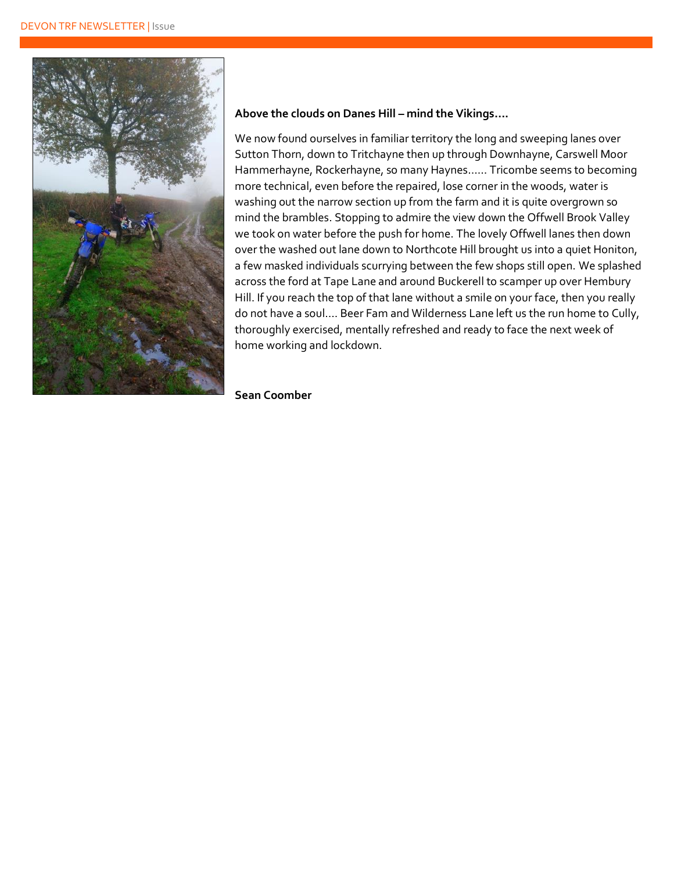

#### **Above the clouds on Danes Hill – mind the Vikings….**

We now found ourselves in familiar territory the long and sweeping lanes over Sutton Thorn, down to Tritchayne then up through Downhayne, Carswell Moor Hammerhayne, Rockerhayne, so many Haynes…… Tricombe seems to becoming more technical, even before the repaired, lose corner in the woods, water is washing out the narrow section up from the farm and it is quite overgrown so mind the brambles. Stopping to admire the view down the Offwell Brook Valley we took on water before the push for home. The lovely Offwell lanes then down over the washed out lane down to Northcote Hill brought us into a quiet Honiton, a few masked individuals scurrying between the few shops still open. We splashed across the ford at Tape Lane and around Buckerell to scamper up over Hembury Hill. If you reach the top of that lane without a smile on your face, then you really do not have a soul…. Beer Fam and Wilderness Lane left us the run home to Cully, thoroughly exercised, mentally refreshed and ready to face the next week of home working and lockdown.

**Sean Coomber**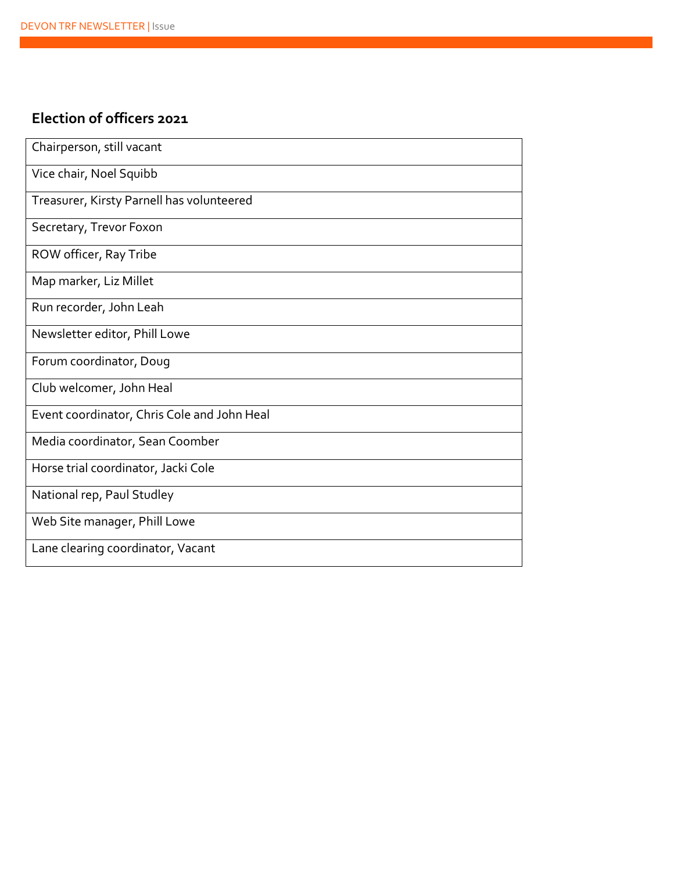## **Election of officers 2021**

| Chairperson, still vacant                   |
|---------------------------------------------|
| Vice chair, Noel Squibb                     |
| Treasurer, Kirsty Parnell has volunteered   |
| Secretary, Trevor Foxon                     |
| ROW officer, Ray Tribe                      |
| Map marker, Liz Millet                      |
| Run recorder, John Leah                     |
| Newsletter editor, Phill Lowe               |
| Forum coordinator, Doug                     |
| Club welcomer, John Heal                    |
| Event coordinator, Chris Cole and John Heal |
| Media coordinator, Sean Coomber             |
| Horse trial coordinator, Jacki Cole         |
| National rep, Paul Studley                  |
| Web Site manager, Phill Lowe                |
| Lane clearing coordinator, Vacant           |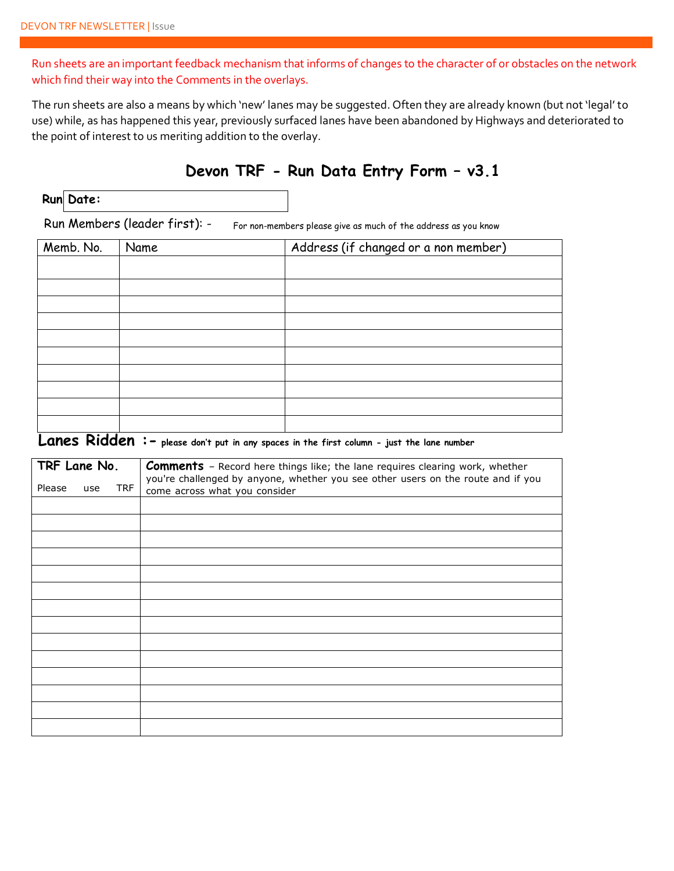Run sheets are an important feedback mechanism that informs of changes to the character of or obstacles on the network which find their way into the Comments in the overlays.

The run sheets are also a means by which 'new' lanes may be suggested. Often they are already known (but not 'legal' to use) while, as has happened this year, previously surfaced lanes have been abandoned by Highways and deteriorated to the point of interest to us meriting addition to the overlay.

## **Devon TRF - Run Data Entry Form – v3.1**

|  | Run Date: |
|--|-----------|
|--|-----------|

Run Members (leader first): - For non-members please give as much of the address as you know

| Memb. No. | Name | Address (if changed or a non member) |
|-----------|------|--------------------------------------|
|           |      |                                      |
|           |      |                                      |
|           |      |                                      |
|           |      |                                      |
|           |      |                                      |
|           |      |                                      |
|           |      |                                      |
|           |      |                                      |
|           |      |                                      |
|           |      |                                      |

# **Lanes Ridden :- please don't put in any spaces in the first column - just the lane number**

| TRF Lane No. |     |            | <b>Comments</b> - Record here things like; the lane requires clearing work, whether                               |
|--------------|-----|------------|-------------------------------------------------------------------------------------------------------------------|
| Please       | use | <b>TRF</b> | you're challenged by anyone, whether you see other users on the route and if you<br>come across what you consider |
|              |     |            |                                                                                                                   |
|              |     |            |                                                                                                                   |
|              |     |            |                                                                                                                   |
|              |     |            |                                                                                                                   |
|              |     |            |                                                                                                                   |
|              |     |            |                                                                                                                   |
|              |     |            |                                                                                                                   |
|              |     |            |                                                                                                                   |
|              |     |            |                                                                                                                   |
|              |     |            |                                                                                                                   |
|              |     |            |                                                                                                                   |
|              |     |            |                                                                                                                   |
|              |     |            |                                                                                                                   |
|              |     |            |                                                                                                                   |